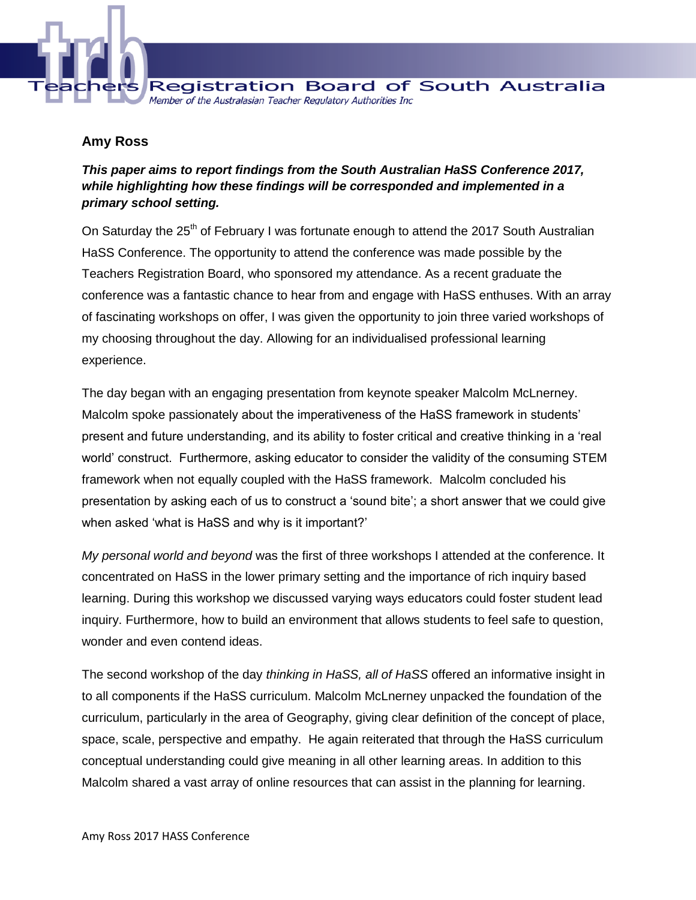

## **Amy Ross**

## *This paper aims to report findings from the South Australian HaSS Conference 2017, while highlighting how these findings will be corresponded and implemented in a primary school setting.*

On Saturday the 25<sup>th</sup> of February I was fortunate enough to attend the 2017 South Australian HaSS Conference. The opportunity to attend the conference was made possible by the Teachers Registration Board, who sponsored my attendance. As a recent graduate the conference was a fantastic chance to hear from and engage with HaSS enthuses. With an array of fascinating workshops on offer, I was given the opportunity to join three varied workshops of my choosing throughout the day. Allowing for an individualised professional learning experience.

The day began with an engaging presentation from keynote speaker Malcolm McLnerney. Malcolm spoke passionately about the imperativeness of the HaSS framework in students' present and future understanding, and its ability to foster critical and creative thinking in a 'real world' construct. Furthermore, asking educator to consider the validity of the consuming STEM framework when not equally coupled with the HaSS framework. Malcolm concluded his presentation by asking each of us to construct a 'sound bite'; a short answer that we could give when asked 'what is HaSS and why is it important?'

*My personal world and beyond* was the first of three workshops I attended at the conference. It concentrated on HaSS in the lower primary setting and the importance of rich inquiry based learning. During this workshop we discussed varying ways educators could foster student lead inquiry. Furthermore, how to build an environment that allows students to feel safe to question, wonder and even contend ideas.

The second workshop of the day *thinking in HaSS, all of HaSS* offered an informative insight in to all components if the HaSS curriculum. Malcolm McLnerney unpacked the foundation of the curriculum, particularly in the area of Geography, giving clear definition of the concept of place, space, scale, perspective and empathy. He again reiterated that through the HaSS curriculum conceptual understanding could give meaning in all other learning areas. In addition to this Malcolm shared a vast array of online resources that can assist in the planning for learning.